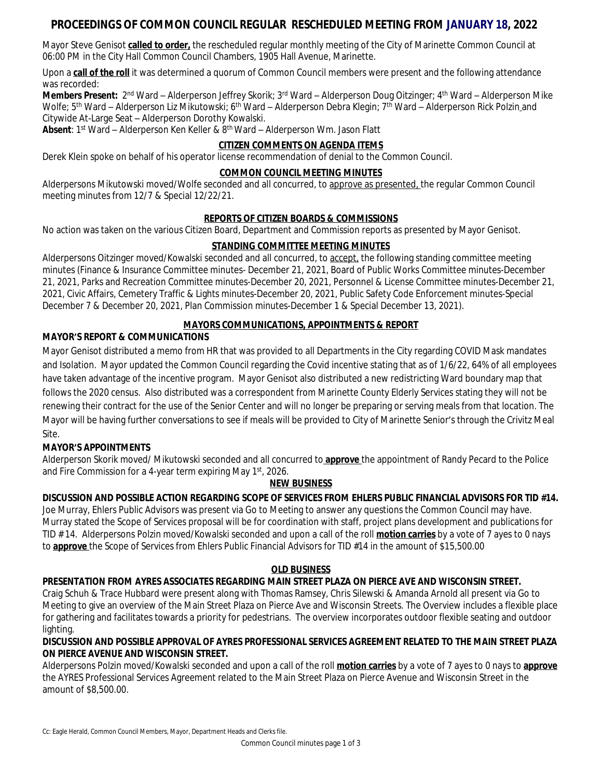# **PROCEEDINGS OF COMMON COUNCIL REGULAR RESCHEDULED MEETING FROM JANUARY 18, 2022**

Mayor Steve Genisot **called to order,** the rescheduled regular monthly meeting of the City of Marinette Common Council at 06:00 PM in the City Hall Common Council Chambers, 1905 Hall Avenue, Marinette.

Upon a **call of the roll** it was determined a quorum of Common Council members were present and the following attendance was recorded:

**Members Present:** 2<sup>nd</sup> Ward – Alderperson Jeffrey Skorik; 3<sup>rd</sup> Ward – Alderperson Doug Oitzinger; 4<sup>th</sup> Ward – Alderperson Mike Wolfe; 5<sup>th</sup> Ward – Alderperson Liz Mikutowski; 6<sup>th</sup> Ward – Alderperson Debra Klegin; 7<sup>th</sup> Ward – Alderperson Rick Polzin\_and Citywide At-Large Seat – Alderperson Dorothy Kowalski.

**Absent**: 1<sup>st</sup> Ward – Alderperson Ken Keller & 8<sup>th</sup> Ward – Alderperson Wm. Jason Flatt

#### **CITIZEN COMMENTS ON AGENDA ITEMS**

Derek Klein spoke on behalf of his operator license recommendation of denial to the Common Council.

### **COMMON COUNCIL MEETING MINUTES**

Alderpersons Mikutowski moved/Wolfe seconded and all concurred, to approve as presented, the regular Common Council meeting minutes from 12/7 & Special 12/22/21.

#### **REPORTS OF CITIZEN BOARDS & COMMISSIONS**

No action was taken on the various Citizen Board, Department and Commission reports as presented by Mayor Genisot.

# **STANDING COMMITTEE MEETING MINUTES**

Alderpersons Oitzinger moved/Kowalski seconded and all concurred, to accept, the following standing committee meeting minutes (Finance & Insurance Committee minutes- December 21, 2021, Board of Public Works Committee minutes-December 21, 2021, Parks and Recreation Committee minutes-December 20, 2021, Personnel & License Committee minutes-December 21, 2021, Civic Affairs, Cemetery Traffic & Lights minutes-December 20, 2021, Public Safety Code Enforcement minutes-Special December 7 & December 20, 2021, Plan Commission minutes-December 1 & Special December 13, 2021).

# **MAYORS COMMUNICATIONS, APPOINTMENTS & REPORT**

#### **MAYOR'S REPORT & COMMUNICATIONS**

Mayor Genisot distributed a memo from HR that was provided to all Departments in the City regarding COVID Mask mandates and Isolation. Mayor updated the Common Council regarding the Covid incentive stating that as of 1/6/22, 64% of all employees have taken advantage of the incentive program. Mayor Genisot also distributed a new redistricting Ward boundary map that follows the 2020 census. Also distributed was a correspondent from Marinette County Elderly Services stating they will not be renewing their contract for the use of the Senior Center and will no longer be preparing or serving meals from that location. The Mayor will be having further conversations to see if meals will be provided to City of Marinette Senior's through the Crivitz Meal Site.

# **MAYOR'S APPOINTMENTS**

Alderperson Skorik moved/ Mikutowski seconded and all concurred to **approve** the appointment of Randy Pecard to the Police and Fire Commission for a 4-year term expiring May 1<sup>st</sup>, 2026.

# **NEW BUSINESS**

# **DISCUSSION AND POSSIBLE ACTION REGARDING SCOPE OF SERVICES FROM EHLERS PUBLIC FINANCIAL ADVISORS FOR TID #14.**

Joe Murray, Ehlers Public Advisors was present via Go to Meeting to answer any questions the Common Council may have. Murray stated the Scope of Services proposal will be for coordination with staff, project plans development and publications for TID # 14. Alderpersons Polzin moved/Kowalski seconded and upon a call of the roll **motion carries** by a vote of 7 ayes to 0 nays to **approve** the Scope of Services from Ehlers Public Financial Advisors for TID #14 in the amount of \$15,500.00

#### **OLD BUSINESS**

# **PRESENTATION FROM AYRES ASSOCIATES REGARDING MAIN STREET PLAZA ON PIERCE AVE AND WISCONSIN STREET.**

Craig Schuh & Trace Hubbard were present along with Thomas Ramsey, Chris Silewski & Amanda Arnold all present via Go to Meeting to give an overview of the Main Street Plaza on Pierce Ave and Wisconsin Streets. The Overview includes a flexible place for gathering and facilitates towards a priority for pedestrians. The overview incorporates outdoor flexible seating and outdoor lighting.

# **DISCUSSION AND POSSIBLE APPROVAL OF AYRES PROFESSIONAL SERVICES AGREEMENT RELATED TO THE MAIN STREET PLAZA ON PIERCE AVENUE AND WISCONSIN STREET.**

Alderpersons Polzin moved/Kowalski seconded and upon a call of the roll **motion carries** by a vote of 7 ayes to 0 nays to **approve** the AYRES Professional Services Agreement related to the Main Street Plaza on Pierce Avenue and Wisconsin Street in the amount of \$8,500.00.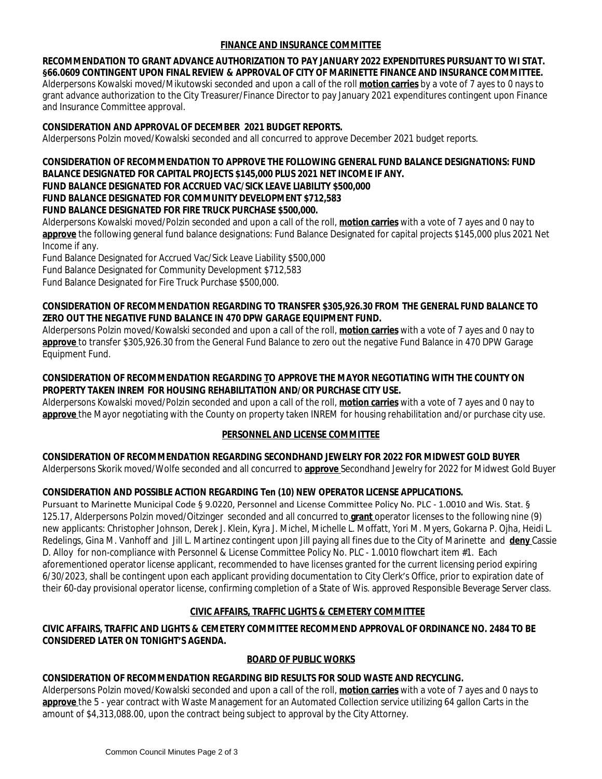# **FINANCE AND INSURANCE COMMITTEE**

**RECOMMENDATION TO GRANT ADVANCE AUTHORIZATION TO PAY JANUARY 2022 EXPENDITURES PURSUANT TO WI STAT. §66.0609 CONTINGENT UPON FINAL REVIEW & APPROVAL OF CITY OF MARINETTE FINANCE AND INSURANCE COMMITTEE.** Alderpersons Kowalski moved/Mikutowski seconded and upon a call of the roll **motion carries** by a vote of 7 ayes to 0 nays to grant advance authorization to the City Treasurer/Finance Director to pay January 2021 expenditures contingent upon Finance and Insurance Committee approval.

#### **CONSIDERATION AND APPROVAL OF DECEMBER 2021 BUDGET REPORTS.**

Alderpersons Polzin moved/Kowalski seconded and all concurred to approve December 2021 budget reports.

#### **CONSIDERATION OF RECOMMENDATION TO APPROVE THE FOLLOWING GENERAL FUND BALANCE DESIGNATIONS: FUND BALANCE DESIGNATED FOR CAPITAL PROJECTS \$145,000 PLUS 2021 NET INCOME IF ANY.**

#### **FUND BALANCE DESIGNATED FOR ACCRUED VAC/SICK LEAVE LIABILITY \$500,000**

### **FUND BALANCE DESIGNATED FOR COMMUNITY DEVELOPMENT \$712,583**

#### **FUND BALANCE DESIGNATED FOR FIRE TRUCK PURCHASE \$500,000.**

Alderpersons Kowalski moved/Polzin seconded and upon a call of the roll, **motion carries** with a vote of 7 ayes and 0 nay to **approve** the following general fund balance designations: Fund Balance Designated for capital projects \$145,000 plus 2021 Net Income if any.

Fund Balance Designated for Accrued Vac/Sick Leave Liability \$500,000

Fund Balance Designated for Community Development \$712,583

Fund Balance Designated for Fire Truck Purchase \$500,000.

### **CONSIDERATION OF RECOMMENDATION REGARDING TO TRANSFER \$305,926.30 FROM THE GENERAL FUND BALANCE TO ZERO OUT THE NEGATIVE FUND BALANCE IN 470 DPW GARAGE EQUIPMENT FUND.**

Alderpersons Polzin moved/Kowalski seconded and upon a call of the roll, **motion carries** with a vote of 7 ayes and 0 nay to **approve** to transfer \$305,926.30 from the General Fund Balance to zero out the negative Fund Balance in 470 DPW Garage Equipment Fund.

### **CONSIDERATION OF RECOMMENDATION REGARDING TO APPROVE THE MAYOR NEGOTIATING WITH THE COUNTY ON PROPERTY TAKEN INREM FOR HOUSING REHABILITATION AND/OR PURCHASE CITY USE.**

Alderpersons Kowalski moved/Polzin seconded and upon a call of the roll, **motion carries** with a vote of 7 ayes and 0 nay to **approve** the Mayor negotiating with the County on property taken INREM for housing rehabilitation and/or purchase city use.

# **PERSONNEL AND LICENSE COMMITTEE**

# **CONSIDERATION OF RECOMMENDATION REGARDING SECONDHAND JEWELRY FOR 2022 FOR MIDWEST GOLD BUYER**

Alderpersons Skorik moved/Wolfe seconded and all concurred to **approve** Secondhand Jewelry for 2022 for Midwest Gold Buyer

# **CONSIDERATION AND POSSIBLE ACTION REGARDING Ten (10) NEW OPERATOR LICENSE APPLICATIONS.**

Pursuant to Marinette Municipal Code § 9.0220, Personnel and License Committee Policy No. PLC - 1.0010 and Wis. Stat. § 125.17, Alderpersons Polzin moved/Oitzinger seconded and all concurred to **grant** operator licenses to the following nine (9) new applicants: Christopher Johnson, Derek J. Klein, Kyra J. Michel, Michelle L. Moffatt, Yori M. Myers, Gokarna P. Ojha, Heidi L. Redelings, Gina M. Vanhoff and Jill L. Martinez contingent upon Jill paying all fines due to the City of Marinette and **deny** Cassie D. Alloy for non-compliance with Personnel & License Committee Policy No. PLC - 1.0010 flowchart item #1. Each aforementioned operator license applicant, recommended to have licenses granted for the current licensing period expiring 6/30/2023, shall be contingent upon each applicant providing documentation to City Clerk's Office, prior to expiration date of their 60-day provisional operator license, confirming completion of a State of Wis. approved Responsible Beverage Server class.

# **CIVIC AFFAIRS, TRAFFIC LIGHTS & CEMETERY COMMITTEE**

# **CIVIC AFFAIRS, TRAFFIC AND LIGHTS & CEMETERY COMMITTEE RECOMMEND APPROVAL OF ORDINANCE NO. 2484 TO BE CONSIDERED LATER ON TONIGHT'S AGENDA.**

#### **BOARD OF PUBLIC WORKS**

# **CONSIDERATION OF RECOMMENDATION REGARDING BID RESULTS FOR SOLID WASTE AND RECYCLING.**

Alderpersons Polzin moved/Kowalski seconded and upon a call of the roll, **motion carries** with a vote of 7 ayes and 0 nays to **approve** the 5 - year contract with Waste Management for an Automated Collection service utilizing 64 gallon Carts in the amount of \$4,313,088.00, upon the contract being subject to approval by the City Attorney.